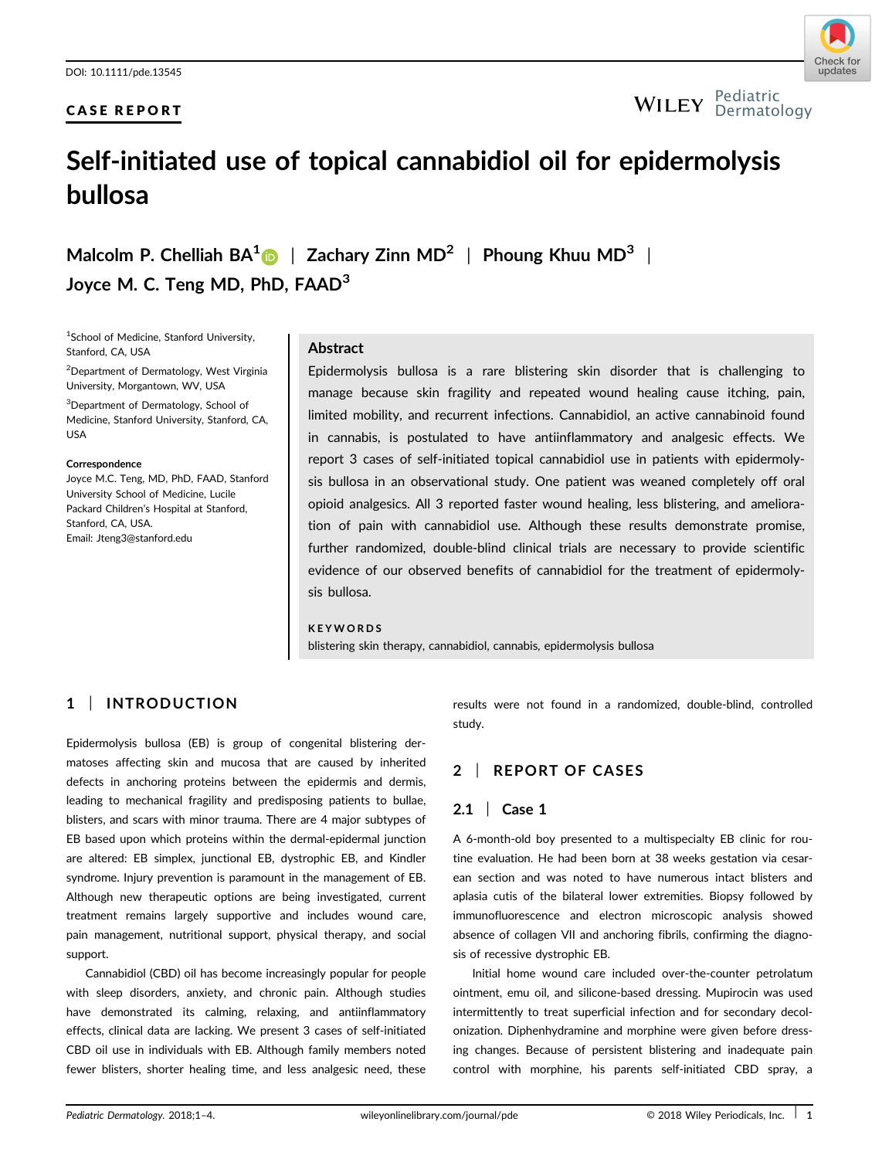# CASE REPORT



#### Pediatric Dermatology

# Self-initiated use of topical cannabidiol oil for epidermolysis bullosa

Malcolm P. Chelliah  $BA^1$  | Zachary Zinn MD<sup>2</sup> | Phoung Khuu MD<sup>3</sup> | Joyce M. C. Teng MD, PhD, FAAD<sup>3</sup>

1 School of Medicine, Stanford University, Stanford, CA, USA

<sup>2</sup>Department of Dermatology, West Virginia University, Morgantown, WV, USA

<sup>3</sup>Department of Dermatology, School of Medicine, Stanford University, Stanford, CA, USA

#### **Correspondence**

Joyce M.C. Teng, MD, PhD, FAAD, Stanford University School of Medicine, Lucile Packard Children's Hospital at Stanford, Stanford, CA, USA. Email: Jteng3@stanford.edu

## Abstract

Epidermolysis bullosa is a rare blistering skin disorder that is challenging to manage because skin fragility and repeated wound healing cause itching, pain, limited mobility, and recurrent infections. Cannabidiol, an active cannabinoid found in cannabis, is postulated to have antiinflammatory and analgesic effects. We report 3 cases of self-initiated topical cannabidiol use in patients with epidermolysis bullosa in an observational study. One patient was weaned completely off oral opioid analgesics. All 3 reported faster wound healing, less blistering, and amelioration of pain with cannabidiol use. Although these results demonstrate promise, further randomized, double-blind clinical trials are necessary to provide scientific evidence of our observed benefits of cannabidiol for the treatment of epidermolysis bullosa.

#### **KEYWORDS**

blistering skin therapy, cannabidiol, cannabis, epidermolysis bullosa

# 1 | INTRODUCTION

Epidermolysis bullosa (EB) is group of congenital blistering dermatoses affecting skin and mucosa that are caused by inherited defects in anchoring proteins between the epidermis and dermis, leading to mechanical fragility and predisposing patients to bullae, blisters, and scars with minor trauma. There are 4 major subtypes of EB based upon which proteins within the dermal-epidermal junction are altered: EB simplex, junctional EB, dystrophic EB, and Kindler syndrome. Injury prevention is paramount in the management of EB. Although new therapeutic options are being investigated, current treatment remains largely supportive and includes wound care, pain management, nutritional support, physical therapy, and social support.

Cannabidiol (CBD) oil has become increasingly popular for people with sleep disorders, anxiety, and chronic pain. Although studies have demonstrated its calming, relaxing, and antiinflammatory effects, clinical data are lacking. We present 3 cases of self-initiated CBD oil use in individuals with EB. Although family members noted fewer blisters, shorter healing time, and less analgesic need, these results were not found in a randomized, double-blind, controlled study.

# 2 | REPORT OF CASES

# 2.1 | Case 1

A 6-month-old boy presented to a multispecialty EB clinic for routine evaluation. He had been born at 38 weeks gestation via cesarean section and was noted to have numerous intact blisters and aplasia cutis of the bilateral lower extremities. Biopsy followed by immunofluorescence and electron microscopic analysis showed absence of collagen VII and anchoring fibrils, confirming the diagnosis of recessive dystrophic EB.

Initial home wound care included over-the-counter petrolatum ointment, emu oil, and silicone-based dressing. Mupirocin was used intermittently to treat superficial infection and for secondary decolonization. Diphenhydramine and morphine were given before dressing changes. Because of persistent blistering and inadequate pain control with morphine, his parents self-initiated CBD spray, a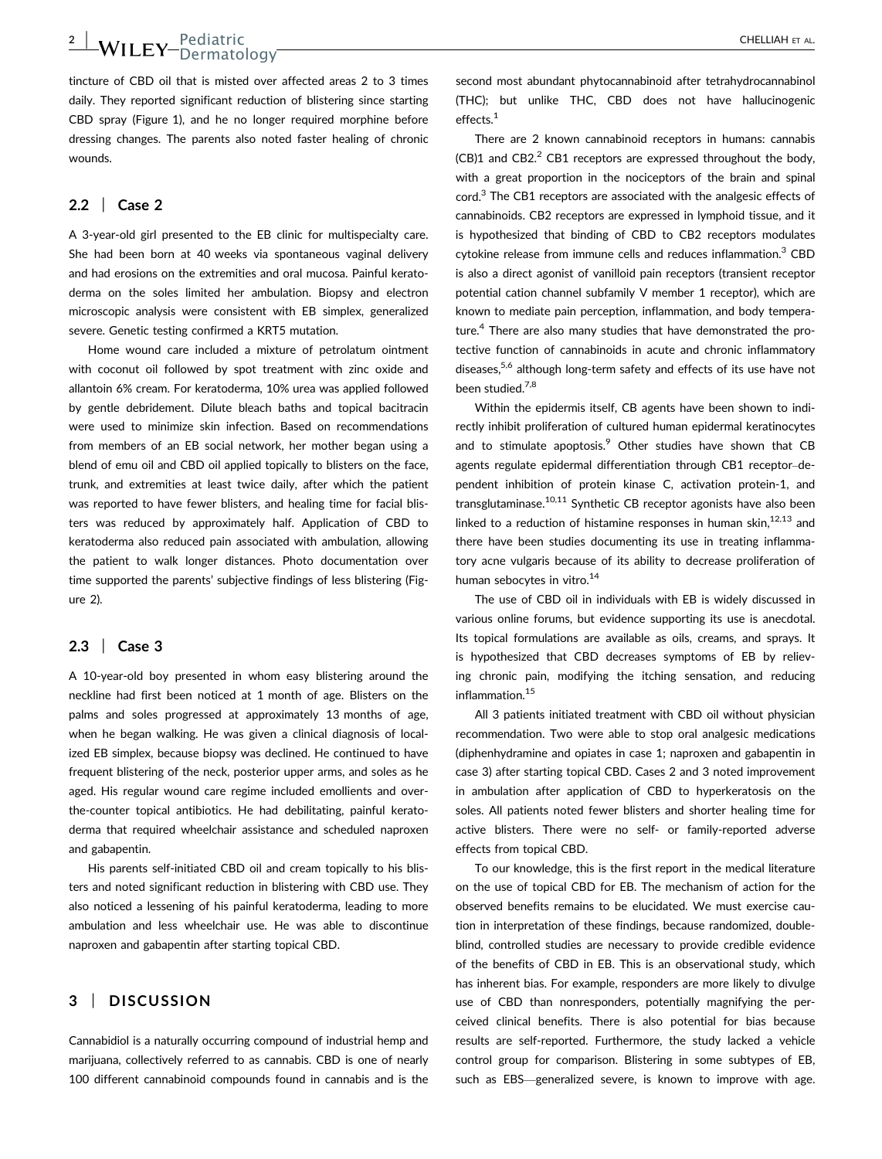tincture of CBD oil that is misted over affected areas 2 to 3 times daily. They reported significant reduction of blistering since starting CBD spray (Figure 1), and he no longer required morphine before dressing changes. The parents also noted faster healing of chronic wounds.

Dermatology

### 2.2 | Case 2

2 |  $M_{\rm H}$   $_{\rm FV}$  Pediatric

A 3-year-old girl presented to the EB clinic for multispecialty care. She had been born at 40 weeks via spontaneous vaginal delivery and had erosions on the extremities and oral mucosa. Painful keratoderma on the soles limited her ambulation. Biopsy and electron microscopic analysis were consistent with EB simplex, generalized severe. Genetic testing confirmed a KRT5 mutation.

Home wound care included a mixture of petrolatum ointment with coconut oil followed by spot treatment with zinc oxide and allantoin 6% cream. For keratoderma, 10% urea was applied followed by gentle debridement. Dilute bleach baths and topical bacitracin were used to minimize skin infection. Based on recommendations from members of an EB social network, her mother began using a blend of emu oil and CBD oil applied topically to blisters on the face, trunk, and extremities at least twice daily, after which the patient was reported to have fewer blisters, and healing time for facial blisters was reduced by approximately half. Application of CBD to keratoderma also reduced pain associated with ambulation, allowing the patient to walk longer distances. Photo documentation over time supported the parents' subjective findings of less blistering (Figure 2).

### 2.3 | Case 3

A 10-year-old boy presented in whom easy blistering around the neckline had first been noticed at 1 month of age. Blisters on the palms and soles progressed at approximately 13 months of age, when he began walking. He was given a clinical diagnosis of localized EB simplex, because biopsy was declined. He continued to have frequent blistering of the neck, posterior upper arms, and soles as he aged. His regular wound care regime included emollients and overthe-counter topical antibiotics. He had debilitating, painful keratoderma that required wheelchair assistance and scheduled naproxen and gabapentin.

His parents self-initiated CBD oil and cream topically to his blisters and noted significant reduction in blistering with CBD use. They also noticed a lessening of his painful keratoderma, leading to more ambulation and less wheelchair use. He was able to discontinue naproxen and gabapentin after starting topical CBD.

## 3 | DISCUSSION

Cannabidiol is a naturally occurring compound of industrial hemp and marijuana, collectively referred to as cannabis. CBD is one of nearly 100 different cannabinoid compounds found in cannabis and is the second most abundant phytocannabinoid after tetrahydrocannabinol (THC); but unlike THC, CBD does not have hallucinogenic effects.<sup>1</sup>

There are 2 known cannabinoid receptors in humans: cannabis  $(CB)1$  and  $CB2<sup>2</sup>$  CB1 receptors are expressed throughout the body. with a great proportion in the nociceptors of the brain and spinal cord.<sup>3</sup> The CB1 receptors are associated with the analgesic effects of cannabinoids. CB2 receptors are expressed in lymphoid tissue, and it is hypothesized that binding of CBD to CB2 receptors modulates cytokine release from immune cells and reduces inflammation.<sup>3</sup> CBD is also a direct agonist of vanilloid pain receptors (transient receptor potential cation channel subfamily V member 1 receptor), which are known to mediate pain perception, inflammation, and body temperature.<sup>4</sup> There are also many studies that have demonstrated the protective function of cannabinoids in acute and chronic inflammatory diseases,<sup>5,6</sup> although long-term safety and effects of its use have not been studied.<sup>7,8</sup>

Within the epidermis itself, CB agents have been shown to indirectly inhibit proliferation of cultured human epidermal keratinocytes and to stimulate apoptosis.<sup>9</sup> Other studies have shown that CB agents regulate epidermal differentiation through CB1 receptor–dependent inhibition of protein kinase C, activation protein-1, and transglutaminase.<sup>10,11</sup> Synthetic CB receptor agonists have also been linked to a reduction of histamine responses in human skin,  $12,13$  and there have been studies documenting its use in treating inflammatory acne vulgaris because of its ability to decrease proliferation of human sebocytes in vitro.<sup>14</sup>

The use of CBD oil in individuals with EB is widely discussed in various online forums, but evidence supporting its use is anecdotal. Its topical formulations are available as oils, creams, and sprays. It is hypothesized that CBD decreases symptoms of EB by relieving chronic pain, modifying the itching sensation, and reducing inflammation.15

All 3 patients initiated treatment with CBD oil without physician recommendation. Two were able to stop oral analgesic medications (diphenhydramine and opiates in case 1; naproxen and gabapentin in case 3) after starting topical CBD. Cases 2 and 3 noted improvement in ambulation after application of CBD to hyperkeratosis on the soles. All patients noted fewer blisters and shorter healing time for active blisters. There were no self- or family-reported adverse effects from topical CBD.

To our knowledge, this is the first report in the medical literature on the use of topical CBD for EB. The mechanism of action for the observed benefits remains to be elucidated. We must exercise caution in interpretation of these findings, because randomized, doubleblind, controlled studies are necessary to provide credible evidence of the benefits of CBD in EB. This is an observational study, which has inherent bias. For example, responders are more likely to divulge use of CBD than nonresponders, potentially magnifying the perceived clinical benefits. There is also potential for bias because results are self-reported. Furthermore, the study lacked a vehicle control group for comparison. Blistering in some subtypes of EB, such as EBS—generalized severe, is known to improve with age.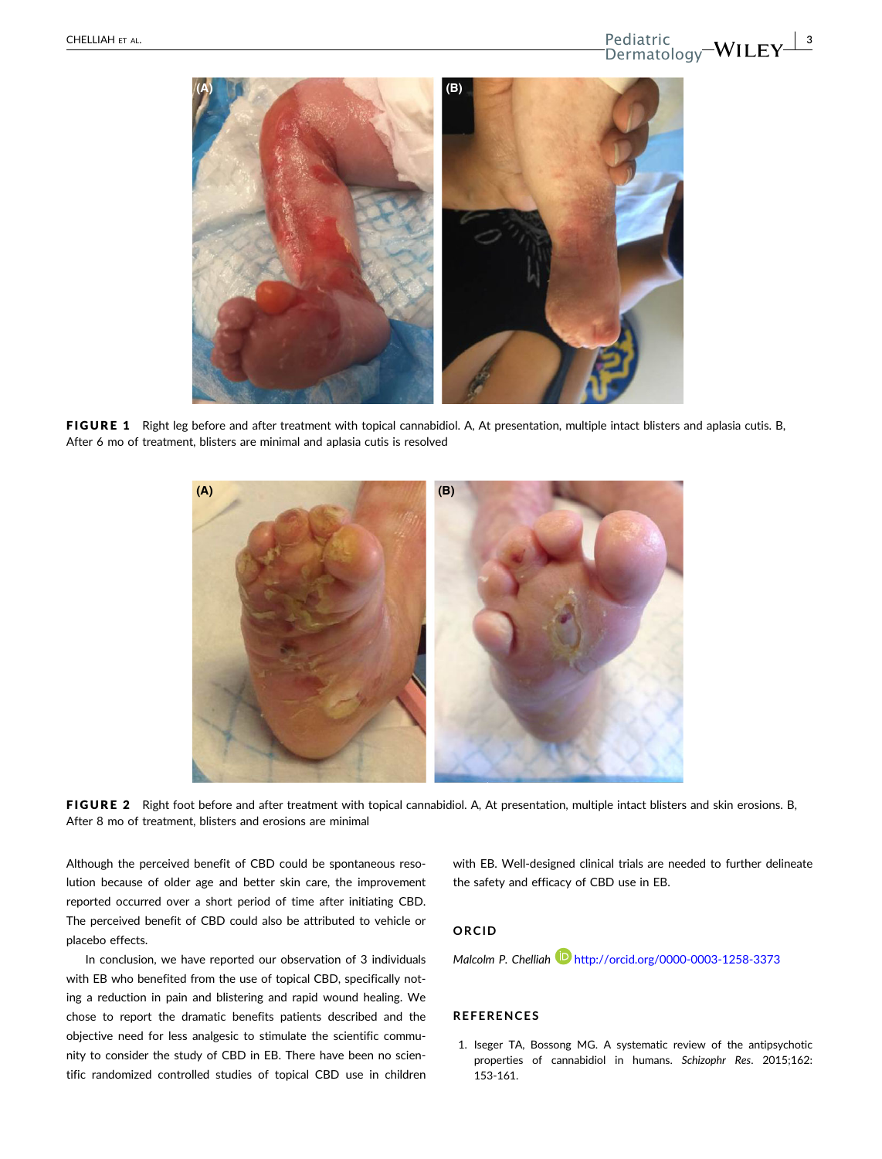

FIGURE 1 Right leg before and after treatment with topical cannabidiol. A, At presentation, multiple intact blisters and aplasia cutis. B, After 6 mo of treatment, blisters are minimal and aplasia cutis is resolved



FIGURE 2 Right foot before and after treatment with topical cannabidiol. A, At presentation, multiple intact blisters and skin erosions. B, After 8 mo of treatment, blisters and erosions are minimal

Although the perceived benefit of CBD could be spontaneous resolution because of older age and better skin care, the improvement reported occurred over a short period of time after initiating CBD. The perceived benefit of CBD could also be attributed to vehicle or placebo effects.

In conclusion, we have reported our observation of 3 individuals with EB who benefited from the use of topical CBD, specifically noting a reduction in pain and blistering and rapid wound healing. We chose to report the dramatic benefits patients described and the objective need for less analgesic to stimulate the scientific community to consider the study of CBD in EB. There have been no scientific randomized controlled studies of topical CBD use in children

with EB. Well-designed clinical trials are needed to further delineate the safety and efficacy of CBD use in EB.

## ORCID

Malcolm P. Chelliah http://orcid.org/0000-0003-1258-3373

#### REFERENCES

1. Iseger TA, Bossong MG. A systematic review of the antipsychotic properties of cannabidiol in humans. Schizophr Res. 2015;162: 153-161.